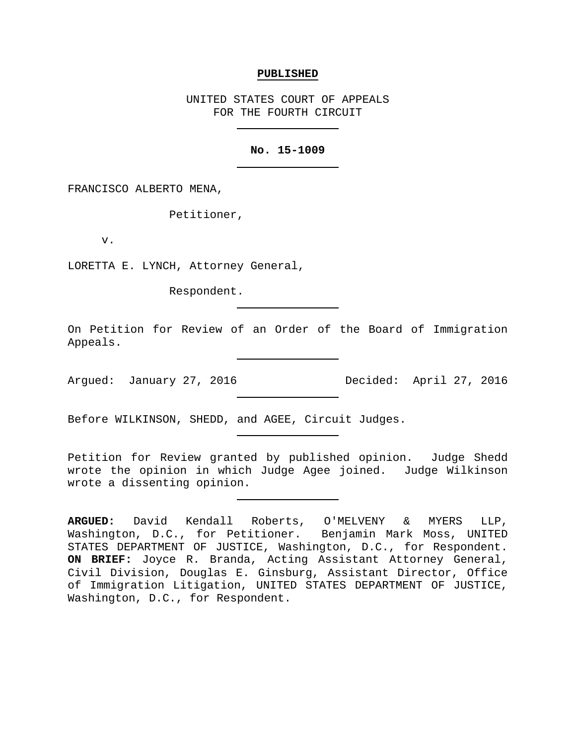### **PUBLISHED**

UNITED STATES COURT OF APPEALS FOR THE FOURTH CIRCUIT

# **No. 15-1009**

FRANCISCO ALBERTO MENA,

Petitioner,

v.

LORETTA E. LYNCH, Attorney General,

Respondent.

On Petition for Review of an Order of the Board of Immigration Appeals.

Argued: January 27, 2016 Decided: April 27, 2016

Before WILKINSON, SHEDD, and AGEE, Circuit Judges.

Petition for Review granted by published opinion. Judge Shedd wrote the opinion in which Judge Agee joined. Judge Wilkinson wrote a dissenting opinion.

**ARGUED:** David Kendall Roberts, O'MELVENY & MYERS LLP, Washington, D.C., for Petitioner. Benjamin Mark Moss, UNITED STATES DEPARTMENT OF JUSTICE, Washington, D.C., for Respondent. **ON BRIEF:** Joyce R. Branda, Acting Assistant Attorney General, Civil Division, Douglas E. Ginsburg, Assistant Director, Office of Immigration Litigation, UNITED STATES DEPARTMENT OF JUSTICE, Washington, D.C., for Respondent.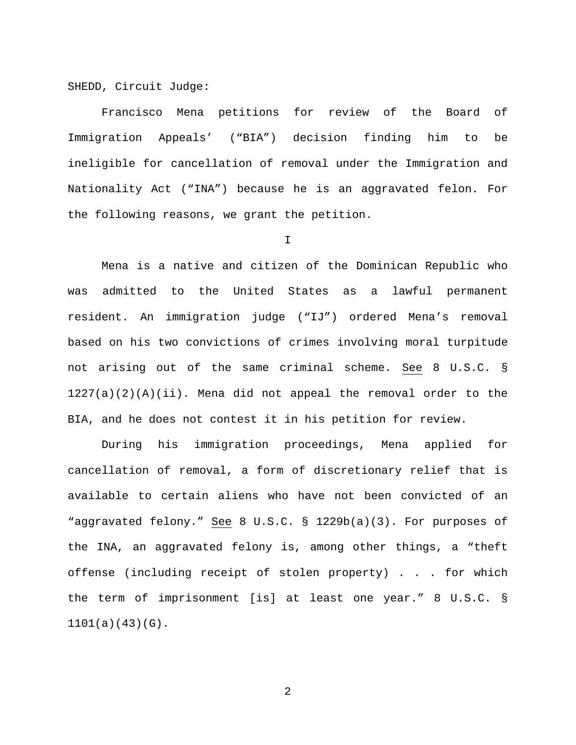SHEDD, Circuit Judge:

Francisco Mena petitions for review of the Board of Immigration Appeals' ("BIA") decision finding him to be ineligible for cancellation of removal under the Immigration and Nationality Act ("INA") because he is an aggravated felon. For the following reasons, we grant the petition.

I

Mena is a native and citizen of the Dominican Republic who was admitted to the United States as a lawful permanent resident. An immigration judge ("IJ") ordered Mena's removal based on his two convictions of crimes involving moral turpitude not arising out of the same criminal scheme. See 8 U.S.C. §  $1227(a)(2)(A)(ii)$ . Mena did not appeal the removal order to the BIA, and he does not contest it in his petition for review.

During his immigration proceedings, Mena applied for cancellation of removal, a form of discretionary relief that is available to certain aliens who have not been convicted of an "aggravated felony." See 8 U.S.C. § 1229b(a)(3). For purposes of the INA, an aggravated felony is, among other things, a "theft offense (including receipt of stolen property) . . . for which the term of imprisonment [is] at least one year." 8 U.S.C. § 1101(a)(43)(G).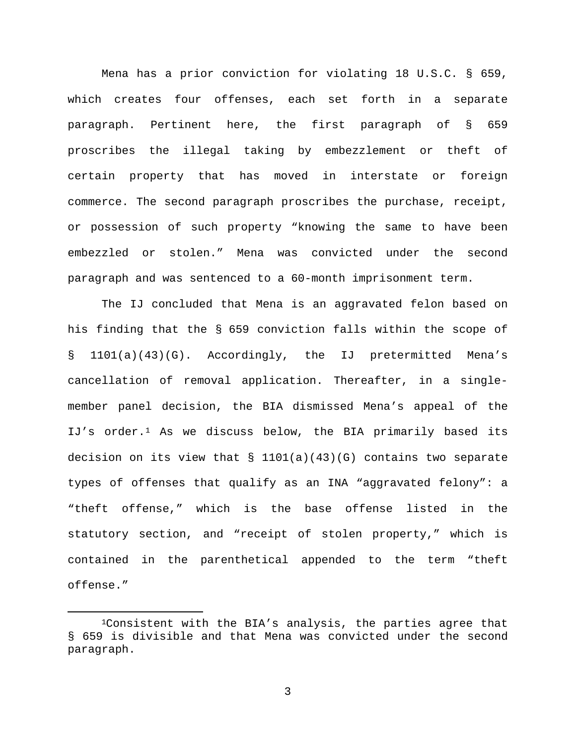Mena has a prior conviction for violating 18 U.S.C. § 659, which creates four offenses, each set forth in a separate paragraph. Pertinent here, the first paragraph of § 659 proscribes the illegal taking by embezzlement or theft of certain property that has moved in interstate or foreign commerce. The second paragraph proscribes the purchase, receipt, or possession of such property "knowing the same to have been embezzled or stolen." Mena was convicted under the second paragraph and was sentenced to a 60-month imprisonment term.

The IJ concluded that Mena is an aggravated felon based on his finding that the § 659 conviction falls within the scope of § 1101(a)(43)(G). Accordingly, the IJ pretermitted Mena's cancellation of removal application. Thereafter, in a singlemember panel decision, the BIA dismissed Mena's appeal of the IJ's order.<sup>[1](#page-2-0)</sup> As we discuss below, the BIA primarily based its decision on its view that  $\S$  1101(a)(43)(G) contains two separate types of offenses that qualify as an INA "aggravated felony": a "theft offense," which is the base offense listed in the statutory section, and "receipt of stolen property," which is contained in the parenthetical appended to the term "theft offense."

<span id="page-2-0"></span> <sup>1</sup>Consistent with the BIA's analysis, the parties agree that § 659 is divisible and that Mena was convicted under the second paragraph.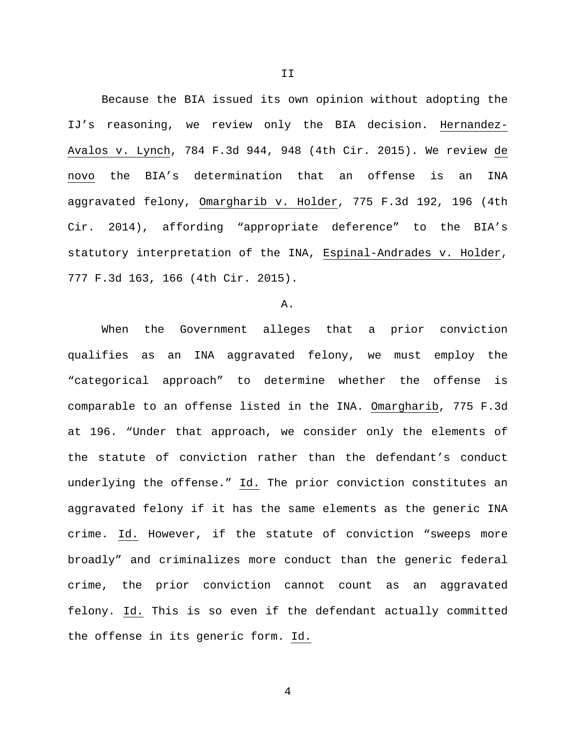Because the BIA issued its own opinion without adopting the IJ's reasoning, we review only the BIA decision. Hernandez-Avalos v. Lynch, 784 F.3d 944, 948 (4th Cir. 2015). We review de novo the BIA's determination that an offense is an INA aggravated felony, Omargharib v. Holder, 775 F.3d 192, 196 (4th Cir. 2014), affording "appropriate deference" to the BIA's statutory interpretation of the INA, Espinal-Andrades v. Holder, 777 F.3d 163, 166 (4th Cir. 2015).

## A.

When the Government alleges that a prior conviction qualifies as an INA aggravated felony, we must employ the "categorical approach" to determine whether the offense is comparable to an offense listed in the INA. Omargharib, 775 F.3d at 196. "Under that approach, we consider only the elements of the statute of conviction rather than the defendant's conduct underlying the offense." Id. The prior conviction constitutes an aggravated felony if it has the same elements as the generic INA crime. Id. However, if the statute of conviction "sweeps more broadly" and criminalizes more conduct than the generic federal crime, the prior conviction cannot count as an aggravated felony. Id. This is so even if the defendant actually committed the offense in its generic form. Id.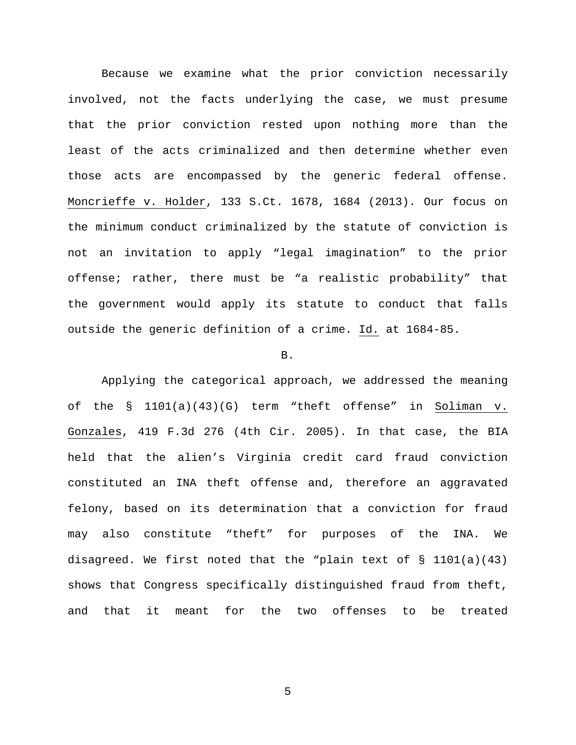Because we examine what the prior conviction necessarily involved, not the facts underlying the case, we must presume that the prior conviction rested upon nothing more than the least of the acts criminalized and then determine whether even those acts are encompassed by the generic federal offense. Moncrieffe v. Holder, 133 S.Ct. 1678, 1684 (2013). Our focus on the minimum conduct criminalized by the statute of conviction is not an invitation to apply "legal imagination" to the prior offense; rather, there must be "a realistic probability" that the government would apply its statute to conduct that falls outside the generic definition of a crime. Id. at 1684-85.

### B.

Applying the categorical approach, we addressed the meaning of the § 1101(a)(43)(G) term "theft offense" in Soliman v. Gonzales, 419 F.3d 276 (4th Cir. 2005). In that case, the BIA held that the alien's Virginia credit card fraud conviction constituted an INA theft offense and, therefore an aggravated felony, based on its determination that a conviction for fraud may also constitute "theft" for purposes of the INA. We disagreed. We first noted that the "plain text of § 1101(a)(43) shows that Congress specifically distinguished fraud from theft, and that it meant for the two offenses to be treated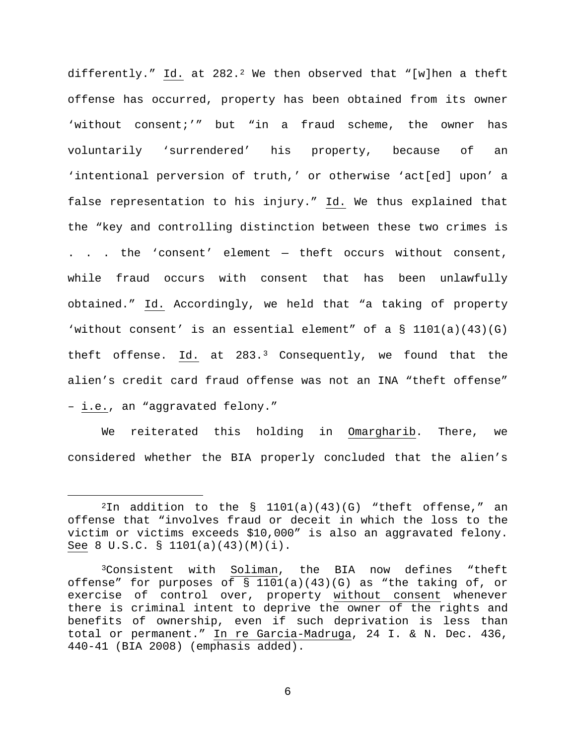differently." Id. at  $282.2$  $282.2$  We then observed that "[w]hen a theft offense has occurred, property has been obtained from its owner 'without consent;'" but "in a fraud scheme, the owner has voluntarily 'surrendered' his property, because of an 'intentional perversion of truth,' or otherwise 'act[ed] upon' a false representation to his injury." Id. We thus explained that the "key and controlling distinction between these two crimes is . . . the 'consent' element — theft occurs without consent, while fraud occurs with consent that has been unlawfully obtained." Id. Accordingly, we held that "a taking of property 'without consent' is an essential element" of a  $\S$  1101(a)(43)(G) theft offense. Id. at  $283.3$  $283.3$  $283.3$  Consequently, we found that the alien's credit card fraud offense was not an INA "theft offense" – i.e., an "aggravated felony."

We reiterated this holding in Omargharib. There, we considered whether the BIA properly concluded that the alien's

<span id="page-5-0"></span> $2In$  addition to the § 1101(a)(43)(G) "theft offense," an offense that "involves fraud or deceit in which the loss to the victim or victims exceeds \$10,000" is also an aggravated felony. See 8 U.S.C. § 1101(a)(43)(M)(i).

<span id="page-5-1"></span><sup>3</sup>Consistent with Soliman, the BIA now defines "theft offense" for purposes of  $\S$  1101(a)(43)(G) as "the taking of, or exercise of control over, property without consent whenever there is criminal intent to deprive the owner of the rights and benefits of ownership, even if such deprivation is less than total or permanent." In re Garcia-Madruga, 24 I. & N. Dec. 436, 440-41 (BIA 2008) (emphasis added).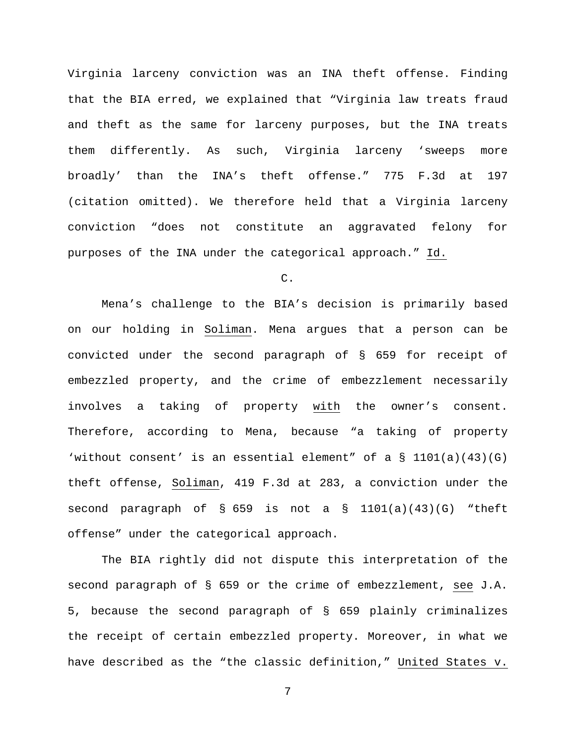Virginia larceny conviction was an INA theft offense. Finding that the BIA erred, we explained that "Virginia law treats fraud and theft as the same for larceny purposes, but the INA treats them differently. As such, Virginia larceny 'sweeps more broadly' than the INA's theft offense." 775 F.3d at 197 (citation omitted). We therefore held that a Virginia larceny conviction "does not constitute an aggravated felony for purposes of the INA under the categorical approach." Id.

C.

Mena's challenge to the BIA's decision is primarily based on our holding in Soliman. Mena argues that a person can be convicted under the second paragraph of § 659 for receipt of embezzled property, and the crime of embezzlement necessarily involves a taking of property with the owner's consent. Therefore, according to Mena, because "a taking of property 'without consent' is an essential element" of a  $\S$  1101(a)(43)(G) theft offense, Soliman, 419 F.3d at 283, a conviction under the second paragraph of § 659 is not a § 1101(a)(43)(G) "theft offense" under the categorical approach.

The BIA rightly did not dispute this interpretation of the second paragraph of § 659 or the crime of embezzlement, see J.A. 5, because the second paragraph of § 659 plainly criminalizes the receipt of certain embezzled property. Moreover, in what we have described as the "the classic definition," United States v.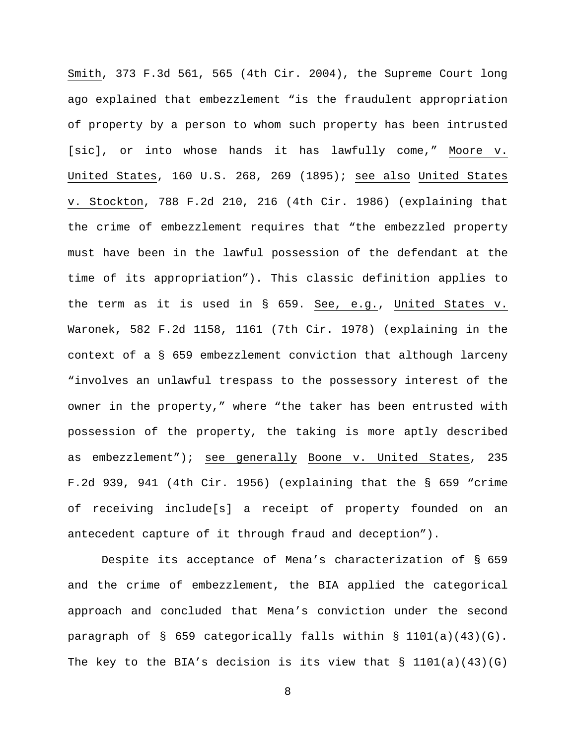Smith, 373 F.3d 561, 565 (4th Cir. 2004), the Supreme Court long ago explained that embezzlement "is the fraudulent appropriation of property by a person to whom such property has been intrusted [sic], or into whose hands it has lawfully come," Moore v. United States, 160 U.S. 268, 269 (1895); see also United States v. Stockton, 788 F.2d 210, 216 (4th Cir. 1986) (explaining that the crime of embezzlement requires that "the embezzled property must have been in the lawful possession of the defendant at the time of its appropriation"). This classic definition applies to the term as it is used in § 659. See, e.g., United States v. Waronek, 582 F.2d 1158, 1161 (7th Cir. 1978) (explaining in the context of a § 659 embezzlement conviction that although larceny "involves an unlawful trespass to the possessory interest of the owner in the property," where "the taker has been entrusted with possession of the property, the taking is more aptly described as embezzlement"); see generally Boone v. United States, 235 F.2d 939, 941 (4th Cir. 1956) (explaining that the § 659 "crime of receiving include[s] a receipt of property founded on an antecedent capture of it through fraud and deception").

Despite its acceptance of Mena's characterization of § 659 and the crime of embezzlement, the BIA applied the categorical approach and concluded that Mena's conviction under the second paragraph of § 659 categorically falls within § 1101(a)(43)(G). The key to the BIA's decision is its view that  $\S$  1101(a)(43)(G)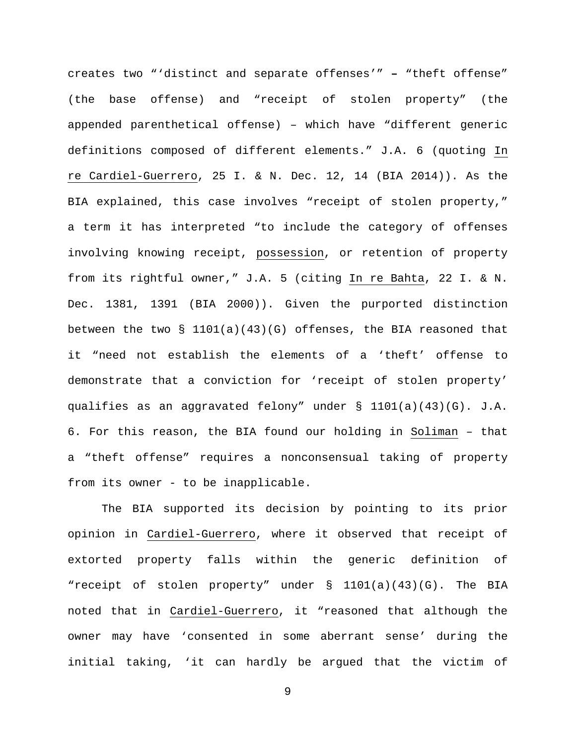creates two "'distinct and separate offenses'" **–** "theft offense" (the base offense) and "receipt of stolen property" (the appended parenthetical offense) – which have "different generic definitions composed of different elements." J.A. 6 (quoting In re Cardiel-Guerrero, 25 I. & N. Dec. 12, 14 (BIA 2014)). As the BIA explained, this case involves "receipt of stolen property," a term it has interpreted "to include the category of offenses involving knowing receipt, possession, or retention of property from its rightful owner," J.A. 5 (citing In re Bahta, 22 I. & N. Dec. 1381, 1391 (BIA 2000)). Given the purported distinction between the two  $\S$  1101(a)(43)(G) offenses, the BIA reasoned that it "need not establish the elements of a 'theft' offense to demonstrate that a conviction for 'receipt of stolen property' qualifies as an aggravated felony" under  $\S$  1101(a)(43)(G). J.A. 6. For this reason, the BIA found our holding in Soliman – that a "theft offense" requires a nonconsensual taking of property from its owner - to be inapplicable.

The BIA supported its decision by pointing to its prior opinion in Cardiel-Guerrero, where it observed that receipt of extorted property falls within the generic definition of "receipt of stolen property" under § 1101(a)(43)(G). The BIA noted that in Cardiel-Guerrero, it "reasoned that although the owner may have 'consented in some aberrant sense' during the initial taking, 'it can hardly be argued that the victim of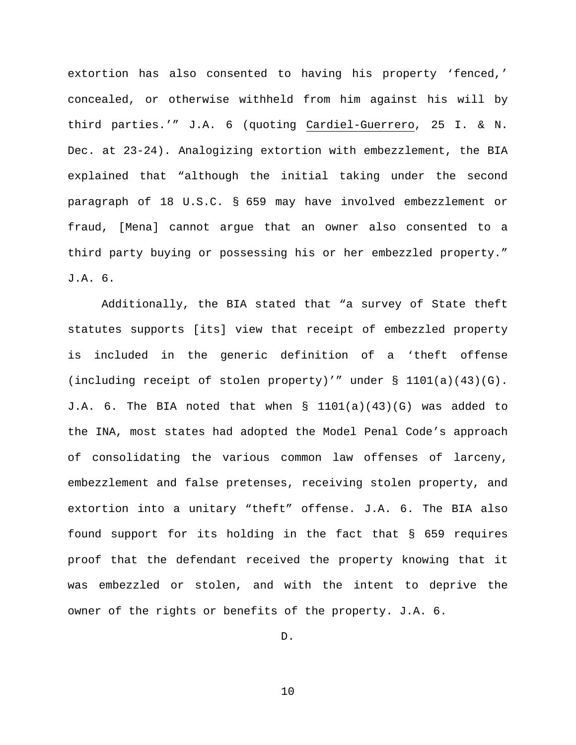extortion has also consented to having his property 'fenced,' concealed, or otherwise withheld from him against his will by third parties.'" J.A. 6 (quoting Cardiel-Guerrero, 25 I. & N. Dec. at 23-24). Analogizing extortion with embezzlement, the BIA explained that "although the initial taking under the second paragraph of 18 U.S.C. § 659 may have involved embezzlement or fraud, [Mena] cannot argue that an owner also consented to a third party buying or possessing his or her embezzled property." J.A. 6.

Additionally, the BIA stated that "a survey of State theft statutes supports [its] view that receipt of embezzled property is included in the generic definition of a 'theft offense (including receipt of stolen property)'" under § 1101(a)(43)(G). J.A. 6. The BIA noted that when § 1101(a)(43)(G) was added to the INA, most states had adopted the Model Penal Code's approach of consolidating the various common law offenses of larceny, embezzlement and false pretenses, receiving stolen property, and extortion into a unitary "theft" offense. J.A. 6. The BIA also found support for its holding in the fact that § 659 requires proof that the defendant received the property knowing that it was embezzled or stolen, and with the intent to deprive the owner of the rights or benefits of the property. J.A. 6.

D.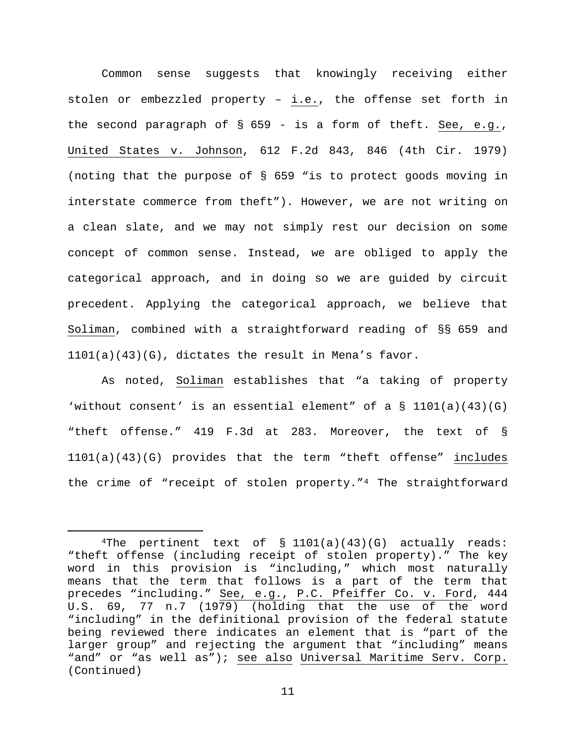Common sense suggests that knowingly receiving either stolen or embezzled property – i.e., the offense set forth in the second paragraph of § 659 - is a form of theft. See, e.g., United States v. Johnson, 612 F.2d 843, 846 (4th Cir. 1979) (noting that the purpose of § 659 "is to protect goods moving in interstate commerce from theft"). However, we are not writing on a clean slate, and we may not simply rest our decision on some concept of common sense. Instead, we are obliged to apply the categorical approach, and in doing so we are guided by circuit precedent. Applying the categorical approach, we believe that Soliman, combined with a straightforward reading of §§ 659 and 1101(a)(43)(G), dictates the result in Mena's favor.

As noted, Soliman establishes that "a taking of property 'without consent' is an essential element" of a  $\S$  1101(a)(43)(G) "theft offense." 419 F.3d at 283. Moreover, the text of § 1101(a)(43)(G) provides that the term "theft offense" includes the crime of "receipt of stolen property."[4](#page-10-0) The straightforward

<span id="page-10-0"></span><sup>&</sup>lt;sup>4</sup>The pertinent text of  $\S$  1101(a)(43)(G) actually reads: "theft offense (including receipt of stolen property)." The key word in this provision is "including," which most naturally means that the term that follows is a part of the term that precedes "including." See, e.g., P.C. Pfeiffer Co. v. Ford, 444 U.S. 69, 77 n.7 (1979) (holding that the use of the word "including" in the definitional provision of the federal statute being reviewed there indicates an element that is "part of the larger group" and rejecting the argument that "including" means "and" or "as well as"); see also Universal Maritime Serv. Corp. (Continued)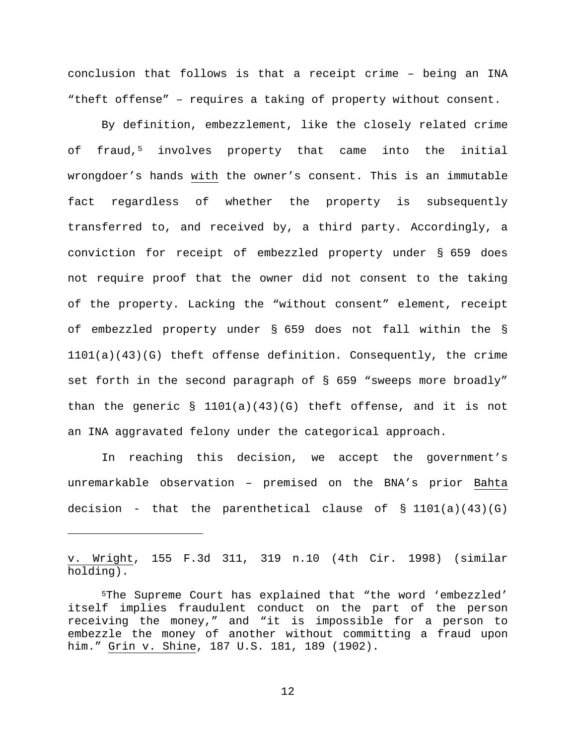conclusion that follows is that a receipt crime – being an INA "theft offense" – requires a taking of property without consent.

By definition, embezzlement, like the closely related crime of fraud,<sup>[5](#page-11-0)</sup> involves property that came into the initial wrongdoer's hands with the owner's consent. This is an immutable fact regardless of whether the property is subsequently transferred to, and received by, a third party. Accordingly, a conviction for receipt of embezzled property under § 659 does not require proof that the owner did not consent to the taking of the property. Lacking the "without consent" element, receipt of embezzled property under § 659 does not fall within the § 1101(a)(43)(G) theft offense definition. Consequently, the crime set forth in the second paragraph of § 659 "sweeps more broadly" than the generic  $\S$  1101(a)(43)(G) theft offense, and it is not an INA aggravated felony under the categorical approach.

In reaching this decision, we accept the government's unremarkable observation – premised on the BNA's prior Bahta decision - that the parenthetical clause of  $\S$  1101(a)(43)(G)

v. Wright, 155 F.3d 311, 319 n.10 (4th Cir. 1998) (similar holding).

ī

<span id="page-11-0"></span><sup>5</sup>The Supreme Court has explained that "the word 'embezzled' itself implies fraudulent conduct on the part of the person receiving the money," and "it is impossible for a person to embezzle the money of another without committing a fraud upon him." Grin v. Shine, 187 U.S. 181, 189 (1902).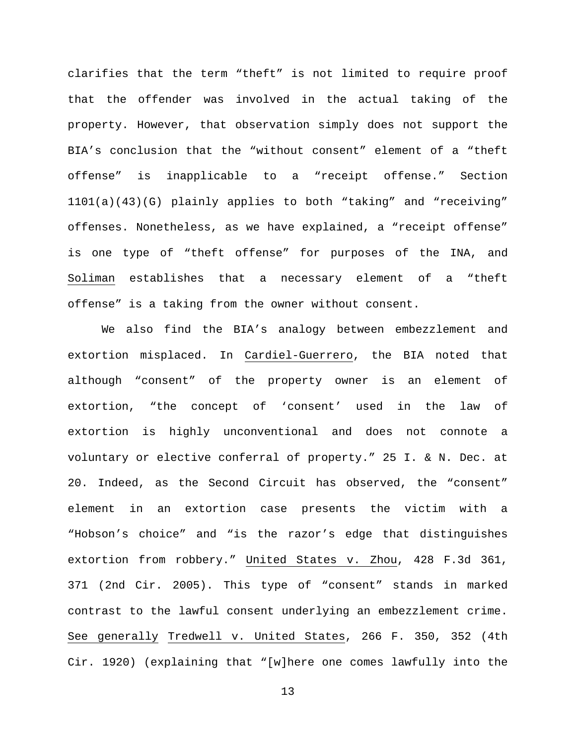clarifies that the term "theft" is not limited to require proof that the offender was involved in the actual taking of the property. However, that observation simply does not support the BIA's conclusion that the "without consent" element of a "theft offense" is inapplicable to a "receipt offense." Section 1101(a)(43)(G) plainly applies to both "taking" and "receiving" offenses. Nonetheless, as we have explained, a "receipt offense" is one type of "theft offense" for purposes of the INA, and Soliman establishes that a necessary element of a "theft offense" is a taking from the owner without consent.

We also find the BIA's analogy between embezzlement and extortion misplaced. In Cardiel-Guerrero, the BIA noted that although "consent" of the property owner is an element of extortion, "the concept of 'consent' used in the law of extortion is highly unconventional and does not connote a voluntary or elective conferral of property." 25 I. & N. Dec. at 20. Indeed, as the Second Circuit has observed, the "consent" element in an extortion case presents the victim with a "Hobson's choice" and "is the razor's edge that distinguishes extortion from robbery." United States v. Zhou, 428 F.3d 361, 371 (2nd Cir. 2005). This type of "consent" stands in marked contrast to the lawful consent underlying an embezzlement crime. See generally Tredwell v. United States, 266 F. 350, 352 (4th Cir. 1920) (explaining that "[w]here one comes lawfully into the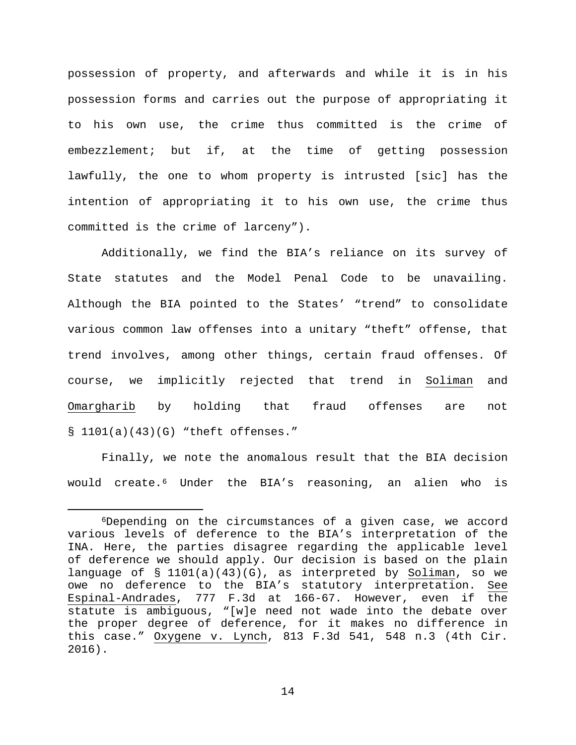possession of property, and afterwards and while it is in his possession forms and carries out the purpose of appropriating it to his own use, the crime thus committed is the crime of embezzlement; but if, at the time of getting possession lawfully, the one to whom property is intrusted [sic] has the intention of appropriating it to his own use, the crime thus committed is the crime of larceny").

Additionally, we find the BIA's reliance on its survey of State statutes and the Model Penal Code to be unavailing. Although the BIA pointed to the States' "trend" to consolidate various common law offenses into a unitary "theft" offense, that trend involves, among other things, certain fraud offenses. Of course, we implicitly rejected that trend in Soliman and Omargharib by holding that fraud offenses are not § 1101(a)(43)(G) "theft offenses."

Finally, we note the anomalous result that the BIA decision would create.[6](#page-13-0) Under the BIA's reasoning, an alien who is

<span id="page-13-0"></span> <sup>6</sup>Depending on the circumstances of a given case, we accord various levels of deference to the BIA's interpretation of the INA. Here, the parties disagree regarding the applicable level of deference we should apply. Our decision is based on the plain language of § 1101(a)(43)(G), as interpreted by Soliman, so we owe no deference to the BIA's statutory interpretation. See Espinal-Andrades, 777 F.3d at 166-67. However, even if the statute is ambiguous, "[w]e need not wade into the debate over the proper degree of deference, for it makes no difference in this case." Oxygene v. Lynch, 813 F.3d 541, 548 n.3 (4th Cir. 2016).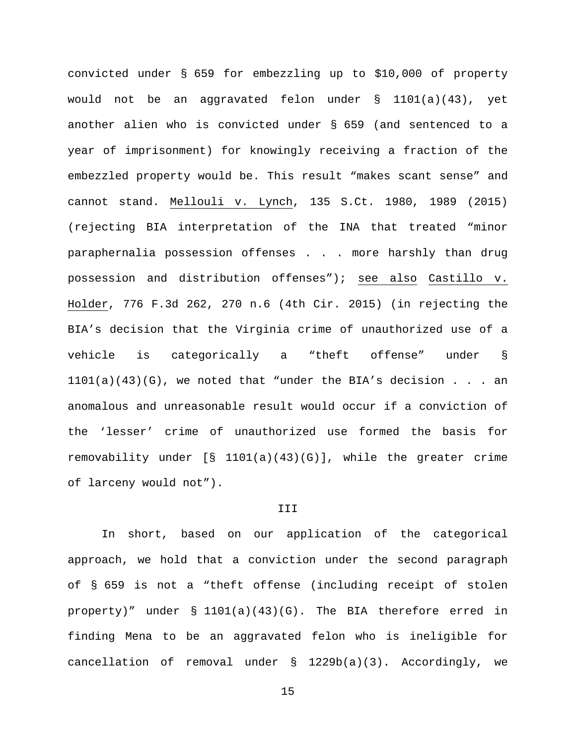convicted under § 659 for embezzling up to \$10,000 of property would not be an aggravated felon under  $\S$  1101(a)(43), yet another alien who is convicted under § 659 (and sentenced to a year of imprisonment) for knowingly receiving a fraction of the embezzled property would be. This result "makes scant sense" and cannot stand. Mellouli v. Lynch, 135 S.Ct. 1980, 1989 (2015) (rejecting BIA interpretation of the INA that treated "minor paraphernalia possession offenses . . . more harshly than drug possession and distribution offenses"); see also Castillo v. Holder, 776 F.3d 262, 270 n.6 (4th Cir. 2015) (in rejecting the BIA's decision that the Virginia crime of unauthorized use of a vehicle is categorically a "theft offense" under §  $1101(a)(43)(G)$ , we noted that "under the BIA's decision . . . an anomalous and unreasonable result would occur if a conviction of the 'lesser' crime of unauthorized use formed the basis for removability under  $[S \ 1101(a)(43)(G)]$ , while the greater crime of larceny would not").

### III

In short, based on our application of the categorical approach, we hold that a conviction under the second paragraph of § 659 is not a "theft offense (including receipt of stolen property)" under § 1101(a)(43)(G). The BIA therefore erred in finding Mena to be an aggravated felon who is ineligible for cancellation of removal under § 1229b(a)(3). Accordingly, we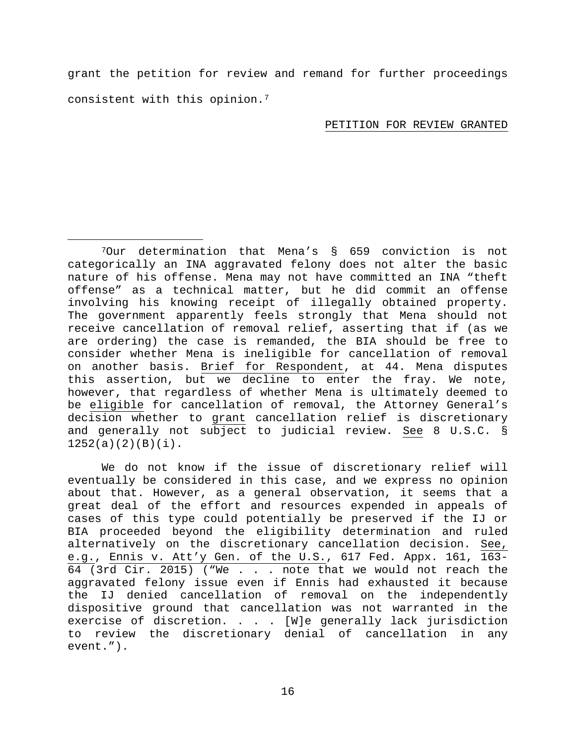grant the petition for review and remand for further proceedings consistent with this opinion.[7](#page-15-0)

## PETITION FOR REVIEW GRANTED

<span id="page-15-0"></span> 7Our determination that Mena's § 659 conviction is not categorically an INA aggravated felony does not alter the basic nature of his offense. Mena may not have committed an INA "theft offense" as a technical matter, but he did commit an offense involving his knowing receipt of illegally obtained property. The government apparently feels strongly that Mena should not receive cancellation of removal relief, asserting that if (as we are ordering) the case is remanded, the BIA should be free to consider whether Mena is ineligible for cancellation of removal on another basis. Brief for Respondent, at 44. Mena disputes this assertion, but we decline to enter the fray. We note, however, that regardless of whether Mena is ultimately deemed to be eligible for cancellation of removal, the Attorney General's decision whether to grant cancellation relief is discretionary and generally not subject to judicial review. See 8 U.S.C. §  $1252(a)(2)(B)(i)$ .

We do not know if the issue of discretionary relief will eventually be considered in this case, and we express no opinion about that. However, as a general observation, it seems that a great deal of the effort and resources expended in appeals of cases of this type could potentially be preserved if the IJ or BIA proceeded beyond the eligibility determination and ruled alternatively on the discretionary cancellation decision. See, e.g., Ennis v. Att'y Gen. of the U.S., 617 Fed. Appx. 161, 163- 64 (3rd Cir. 2015) ("We . . . note that we would not reach the aggravated felony issue even if Ennis had exhausted it because the IJ denied cancellation of removal on the independently dispositive ground that cancellation was not warranted in the exercise of discretion. . . . [W]e generally lack jurisdiction to review the discretionary denial of cancellation in any event.").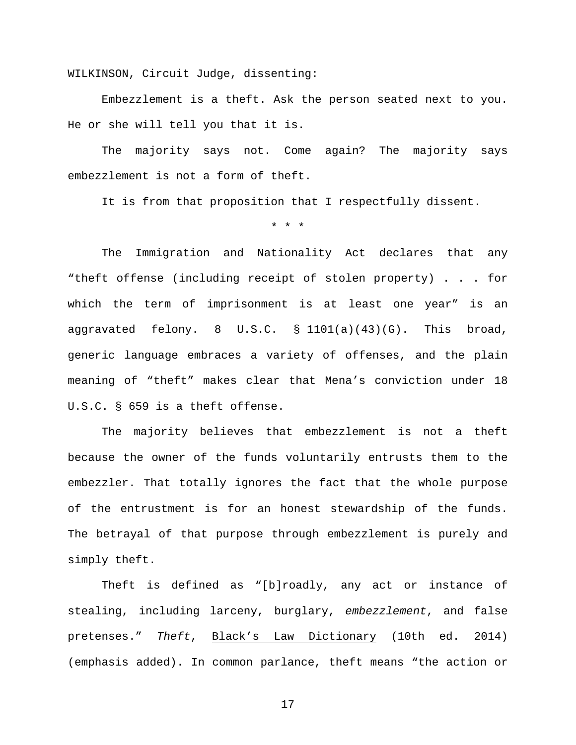WILKINSON, Circuit Judge, dissenting:

Embezzlement is a theft. Ask the person seated next to you. He or she will tell you that it is.

The majority says not. Come again? The majority says embezzlement is not a form of theft.

It is from that proposition that I respectfully dissent.

\* \* \*

The Immigration and Nationality Act declares that any "theft offense (including receipt of stolen property) . . . for which the term of imprisonment is at least one year" is an aggravated felony. 8 U.S.C.  $\S$  1101(a)(43)(G). This broad, generic language embraces a variety of offenses, and the plain meaning of "theft" makes clear that Mena's conviction under 18 U.S.C. § 659 is a theft offense.

The majority believes that embezzlement is not a theft because the owner of the funds voluntarily entrusts them to the embezzler. That totally ignores the fact that the whole purpose of the entrustment is for an honest stewardship of the funds. The betrayal of that purpose through embezzlement is purely and simply theft.

Theft is defined as "[b]roadly, any act or instance of stealing, including larceny, burglary, *embezzlement*, and false pretenses." *Theft*, Black's Law Dictionary (10th ed. 2014) (emphasis added). In common parlance, theft means "the action or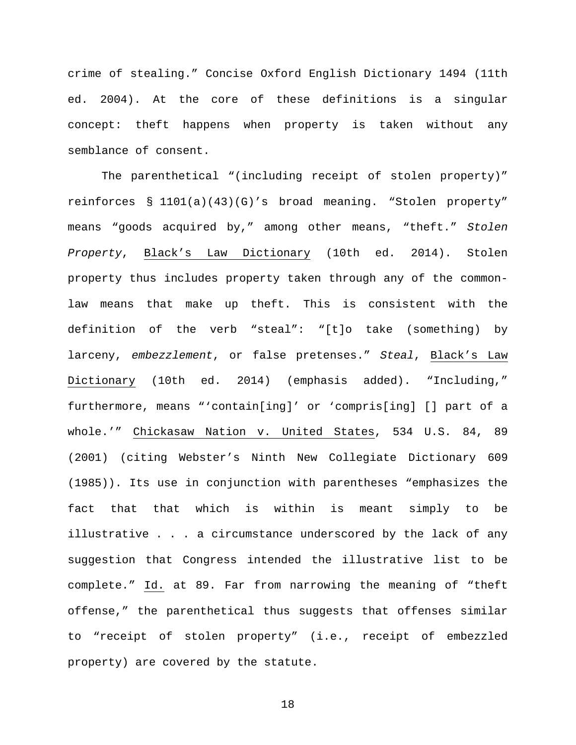crime of stealing." Concise Oxford English Dictionary 1494 (11th ed. 2004). At the core of these definitions is a singular concept: theft happens when property is taken without any semblance of consent.

The parenthetical "(including receipt of stolen property)" reinforces § 1101(a)(43)(G)'s broad meaning. "Stolen property" means "goods acquired by," among other means, "theft." *Stolen Property*, Black's Law Dictionary (10th ed. 2014). Stolen property thus includes property taken through any of the commonlaw means that make up theft. This is consistent with the definition of the verb "steal": "[t]o take (something) by larceny, *embezzlement*, or false pretenses." *Steal*, Black's Law Dictionary (10th ed. 2014) (emphasis added). "Including," furthermore, means "'contain[ing]' or 'compris[ing] [] part of a whole.'" Chickasaw Nation v. United States, 534 U.S. 84, 89 (2001) (citing Webster's Ninth New Collegiate Dictionary 609 (1985)). Its use in conjunction with parentheses "emphasizes the fact that that which is within is meant simply to be illustrative . . . a circumstance underscored by the lack of any suggestion that Congress intended the illustrative list to be complete." Id. at 89. Far from narrowing the meaning of "theft offense," the parenthetical thus suggests that offenses similar to "receipt of stolen property" (i.e., receipt of embezzled property) are covered by the statute.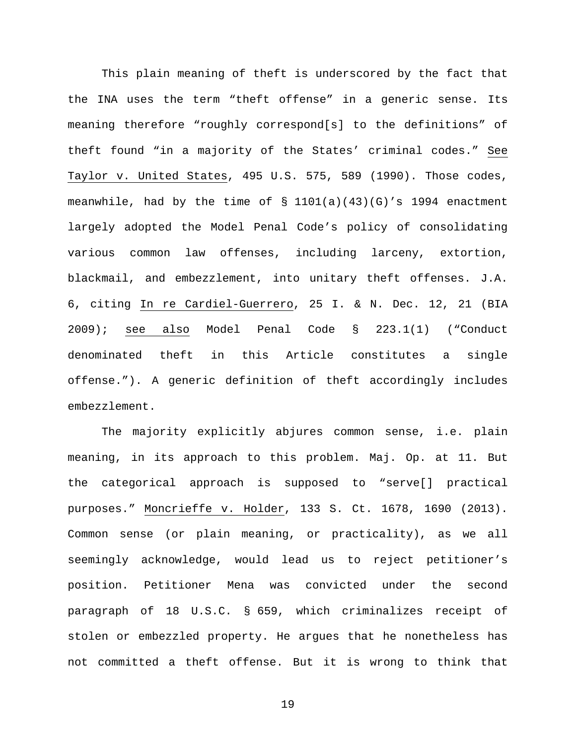This plain meaning of theft is underscored by the fact that the INA uses the term "theft offense" in a generic sense. Its meaning therefore "roughly correspond[s] to the definitions" of theft found "in a majority of the States' criminal codes." See Taylor v. United States, 495 U.S. 575, 589 (1990). Those codes, meanwhile, had by the time of § 1101(a)(43)(G)'s 1994 enactment largely adopted the Model Penal Code's policy of consolidating various common law offenses, including larceny, extortion, blackmail, and embezzlement, into unitary theft offenses. J.A. 6, citing In re Cardiel-Guerrero, 25 I. & N. Dec. 12, 21 (BIA 2009); see also Model Penal Code § 223.1(1) ("Conduct denominated theft in this Article constitutes a single offense."). A generic definition of theft accordingly includes embezzlement.

The majority explicitly abjures common sense, i.e. plain meaning, in its approach to this problem. Maj. Op. at 11. But the categorical approach is supposed to "serve[] practical purposes." Moncrieffe v. Holder, 133 S. Ct. 1678, 1690 (2013). Common sense (or plain meaning, or practicality), as we all seemingly acknowledge, would lead us to reject petitioner's position. Petitioner Mena was convicted under the second paragraph of 18 U.S.C. § 659, which criminalizes receipt of stolen or embezzled property. He argues that he nonetheless has not committed a theft offense. But it is wrong to think that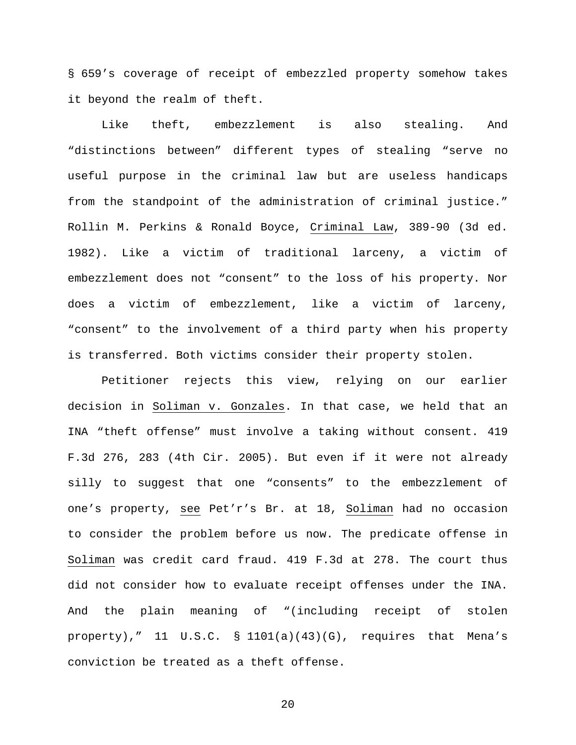§ 659's coverage of receipt of embezzled property somehow takes it beyond the realm of theft.

Like theft, embezzlement is also stealing. And "distinctions between" different types of stealing "serve no useful purpose in the criminal law but are useless handicaps from the standpoint of the administration of criminal justice." Rollin M. Perkins & Ronald Boyce, Criminal Law, 389-90 (3d ed. 1982). Like a victim of traditional larceny, a victim of embezzlement does not "consent" to the loss of his property. Nor does a victim of embezzlement, like a victim of larceny, "consent" to the involvement of a third party when his property is transferred. Both victims consider their property stolen.

Petitioner rejects this view, relying on our earlier decision in Soliman v. Gonzales. In that case, we held that an INA "theft offense" must involve a taking without consent. 419 F.3d 276, 283 (4th Cir. 2005). But even if it were not already silly to suggest that one "consents" to the embezzlement of one's property, see Pet'r's Br. at 18, Soliman had no occasion to consider the problem before us now. The predicate offense in Soliman was credit card fraud. 419 F.3d at 278. The court thus did not consider how to evaluate receipt offenses under the INA. And the plain meaning of "(including receipt of stolen property)," 11 U.S.C. § 1101(a)(43)(G), requires that Mena's conviction be treated as a theft offense.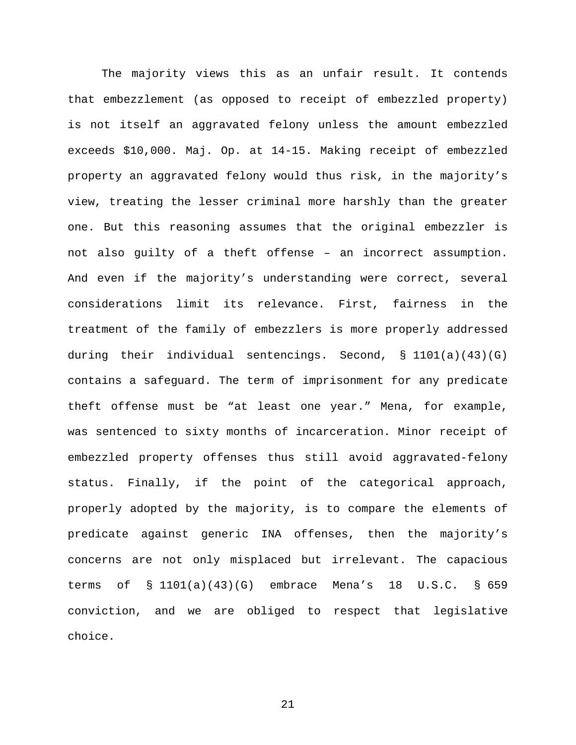The majority views this as an unfair result. It contends that embezzlement (as opposed to receipt of embezzled property) is not itself an aggravated felony unless the amount embezzled exceeds \$10,000. Maj. Op. at 14-15. Making receipt of embezzled property an aggravated felony would thus risk, in the majority's view, treating the lesser criminal more harshly than the greater one. But this reasoning assumes that the original embezzler is not also guilty of a theft offense – an incorrect assumption. And even if the majority's understanding were correct, several considerations limit its relevance. First, fairness in the treatment of the family of embezzlers is more properly addressed during their individual sentencings. Second,  $\S$  1101(a)(43)(G) contains a safeguard. The term of imprisonment for any predicate theft offense must be "at least one year." Mena, for example, was sentenced to sixty months of incarceration. Minor receipt of embezzled property offenses thus still avoid aggravated-felony status. Finally, if the point of the categorical approach, properly adopted by the majority, is to compare the elements of predicate against generic INA offenses, then the majority's concerns are not only misplaced but irrelevant. The capacious terms of § 1101(a)(43)(G) embrace Mena's 18 U.S.C. § 659 conviction, and we are obliged to respect that legislative choice.